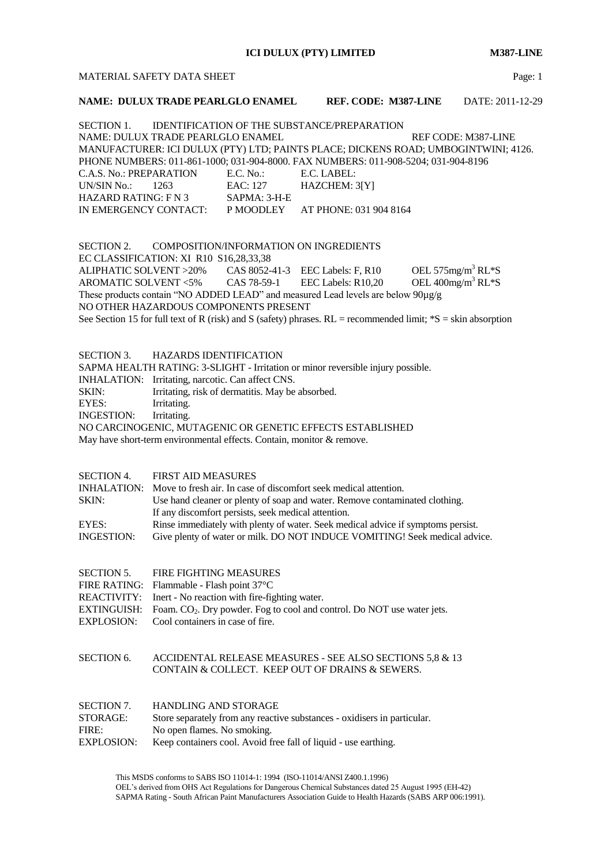**ICI DULUX (PTY) LIMITED M387-LINE**

## MATERIAL SAFETY DATA SHEET **Page:** 1

# **NAME: DULUX TRADE PEARLGLO ENAMEL REF. CODE: M387-LINE** DATE: 2011-12-29

SECTION 1. IDENTIFICATION OF THE SUBSTANCE/PREPARATION NAME: DULUX TRADE PEARLGLO ENAMEL REF CODE: M387-LINE MANUFACTURER: ICI DULUX (PTY) LTD; PAINTS PLACE; DICKENS ROAD; UMBOGINTWINI; 4126. PHONE NUMBERS: 011-861-1000; 031-904-8000. FAX NUMBERS: 011-908-5204; 031-904-8196 C.A.S. No.: PREPARATION E.C. No.: E.C. LABEL: UN/SIN No.: 1263 EAC: 127 HAZCHEM: 3[Y] HAZARD RATING: F N 3 SAPMA: 3-H-E IN EMERGENCY CONTACT: P MOODLEY AT PHONE: 031 904 8164

SECTION 2. COMPOSITION/INFORMATION ON INGREDIENTS EC CLASSIFICATION: XI R10 S16,28,33,38 ALIPHATIC SOLVENT >20% CAS 8052-41-3 EEC Labels: F, R10 OEL 575mg/m<sup>3</sup> RL\*S AROMATIC SOLVENT <5% CAS 78-59-1 EEC Labels: R10,20 OEL 400mg/m<sup>3</sup> RL\*S These products contain "NO ADDED LEAD" and measured Lead levels are below 90µg/g NO OTHER HAZARDOUS COMPONENTS PRESENT See Section 15 for full text of R (risk) and S (safety) phrases.  $RL =$  recommended limit;  $*S =$  skin absorption

SECTION 3. HAZARDS IDENTIFICATION

SAPMA HEALTH RATING: 3-SLIGHT - Irritation or minor reversible injury possible.

INHALATION: Irritating, narcotic. Can affect CNS.

SKIN: Irritating, risk of dermatitis. May be absorbed.

EYES: Irritating.

INGESTION: Irritating.

NO CARCINOGENIC, MUTAGENIC OR GENETIC EFFECTS ESTABLISHED

May have short-term environmental effects. Contain, monitor & remove.

SECTION 4. FIRST AID MEASURES

INHALATION: Move to fresh air. In case of discomfort seek medical attention. SKIN: Use hand cleaner or plenty of soap and water. Remove contaminated clothing. If any discomfort persists, seek medical attention. EYES: Rinse immediately with plenty of water. Seek medical advice if symptoms persist. INGESTION: Give plenty of water or milk. DO NOT INDUCE VOMITING! Seek medical advice.

FIRE RATING: Flammable - Flash point 37°C

- REACTIVITY: Inert No reaction with fire-fighting water.
- EXTINGUISH: Foam. CO<sub>2</sub>. Dry powder. Fog to cool and control. Do NOT use water jets.
- EXPLOSION: Cool containers in case of fire.
- SECTION 6. ACCIDENTAL RELEASE MEASURES SEE ALSO SECTIONS 5,8 & 13 CONTAIN & COLLECT. KEEP OUT OF DRAINS & SEWERS.

| <b>SECTION 7.</b> | <b>HANDLING AND STORAGE</b>                                              |
|-------------------|--------------------------------------------------------------------------|
| STORAGE:          | Store separately from any reactive substances - oxidisers in particular. |
| FIRE:             | No open flames. No smoking.                                              |
| <b>EXPLOSION:</b> | Keep containers cool. Avoid free fall of liquid - use earthing.          |

This MSDS conforms to SABS ISO 11014-1: 1994 (ISO-11014/ANSI Z400.1.1996) OEL's derived from OHS Act Regulations for Dangerous Chemical Substances dated 25 August 1995 (EH-42) SAPMA Rating - South African Paint Manufacturers Association Guide to Health Hazards (SABS ARP 006:1991).